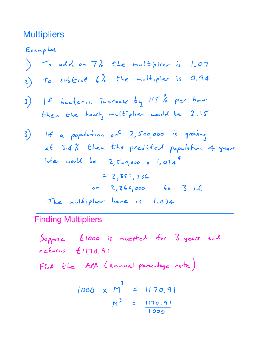## **Multipliers**

Examples <sup>1</sup> To add on 7 the multiplier is 1.07 <sup>2</sup> To subtract 6 the multiplier is 0.94 If bacteria increase by <sup>115</sup> per hour then the hourly multiplier would be 2.15 3 If <sup>a</sup> population of 2,500,000 is growing at 3.4 then the predicted population 4 years later would be 2,500,000 <sup>x</sup> 1.034 2,857,736 or 2,860,000 to 3 S.f The multiplier here is 1.034

Finding Multipliers

Soppose Eloob is invested for 3 years and  
reforms E1170.91  
Find the A.P.P. (annual percentage rate)  

$$
1000 \times M^3 = 1170.91
$$
  
 $M^3 = \frac{1170.91}{1000}$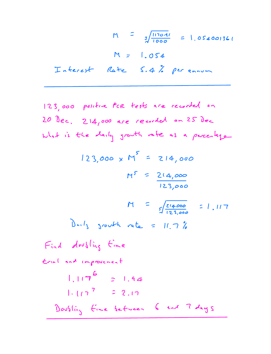$M = \frac{3}{4} \frac{1170.41}{1000} = 1.054001361$  $M = 1.054$ Interest Rate 5.4 per annum

123,000 positive for tests are reached on  
\n20 dec. 214,000 are reached on 25 dec.  
\nWhat is the daily south rate as a purely  
\n123,000 x M<sup>5</sup> = 214,000  
\n
$$
M^5 = 2.4,000
$$
  
\n $M^5 = \frac{2.4,000}{123,000}$   
\n $M = \frac{\sqrt{24,000}}{123,000} = 1.117$   
\nButly growth rate = 11.7%  
\nFind doubling time  
\n $1.117^6 = 1.94$ 

$$
1.117^{7} = 2.17
$$
  
Douslin<sub>3</sub> Eine between 6 end 7 days